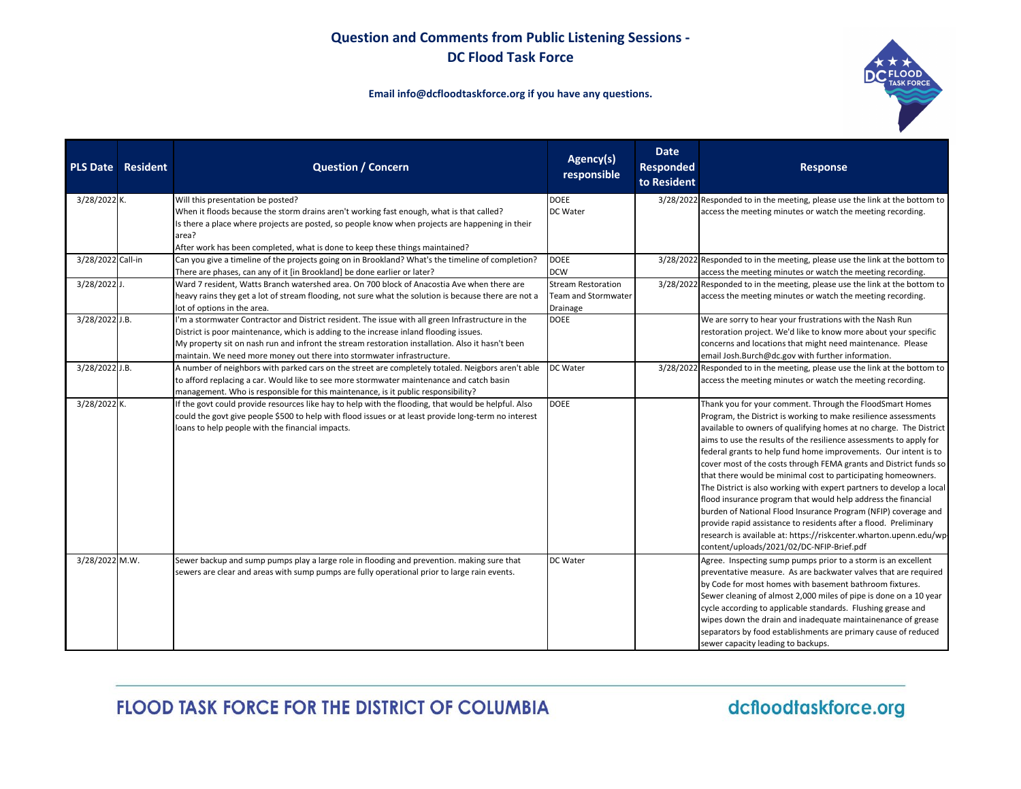

#### **Email info@dcfloodtaskforce.org if you have any questions.**

|                   | <b>PLS Date Resident</b> | <b>Question / Concern</b>                                                                                | Agency(s)<br>responsible   | <b>Date</b><br>Responded<br>to Resident | <b>Response</b>                                                                                                 |
|-------------------|--------------------------|----------------------------------------------------------------------------------------------------------|----------------------------|-----------------------------------------|-----------------------------------------------------------------------------------------------------------------|
| 3/28/2022 K.      |                          | Will this presentation be posted?                                                                        | <b>DOEE</b>                |                                         | 3/28/2022 Responded to in the meeting, please use the link at the bottom to                                     |
|                   |                          | When it floods because the storm drains aren't working fast enough, what is that called?                 | DC Water                   |                                         | access the meeting minutes or watch the meeting recording.                                                      |
|                   |                          | Is there a place where projects are posted, so people know when projects are happening in their<br>area? |                            |                                         |                                                                                                                 |
|                   |                          | After work has been completed, what is done to keep these things maintained?                             |                            |                                         |                                                                                                                 |
| 3/28/2022 Call-in |                          | Can you give a timeline of the projects going on in Brookland? What's the timeline of completion?        | <b>DOEE</b>                |                                         | 3/28/2022 Responded to in the meeting, please use the link at the bottom to                                     |
|                   |                          | There are phases, can any of it [in Brookland] be done earlier or later?                                 | <b>DCW</b>                 |                                         | access the meeting minutes or watch the meeting recording.                                                      |
| 3/28/2022 J.      |                          | Ward 7 resident, Watts Branch watershed area. On 700 block of Anacostia Ave when there are               | <b>Stream Restoration</b>  |                                         | 3/28/2022 Responded to in the meeting, please use the link at the bottom to                                     |
|                   |                          | heavy rains they get a lot of stream flooding, not sure what the solution is because there are not a     | <b>Team and Stormwater</b> |                                         | access the meeting minutes or watch the meeting recording.                                                      |
|                   |                          | lot of options in the area.                                                                              | Drainage                   |                                         |                                                                                                                 |
| 3/28/2022 J.B.    |                          | I'm a stormwater Contractor and District resident. The issue with all green Infrastructure in the        | <b>DOEE</b>                |                                         | We are sorry to hear your frustrations with the Nash Run                                                        |
|                   |                          | District is poor maintenance, which is adding to the increase inland flooding issues.                    |                            |                                         | restoration project. We'd like to know more about your specific                                                 |
|                   |                          | My property sit on nash run and infront the stream restoration installation. Also it hasn't been         |                            |                                         | concerns and locations that might need maintenance. Please                                                      |
|                   |                          | maintain. We need more money out there into stormwater infrastructure.                                   |                            |                                         | email Josh.Burch@dc.gov with further information.                                                               |
| 3/28/2022 J.B.    |                          | A number of neighbors with parked cars on the street are completely totaled. Neigbors aren't able        | <b>DC</b> Water            |                                         | 3/28/2022 Responded to in the meeting, please use the link at the bottom to                                     |
|                   |                          | to afford replacing a car. Would like to see more stormwater maintenance and catch basin                 |                            |                                         | access the meeting minutes or watch the meeting recording.                                                      |
|                   |                          | management. Who is responsible for this maintenance, is it public responsibility?                        |                            |                                         |                                                                                                                 |
| 3/28/2022 K.      |                          | If the govt could provide resources like hay to help with the flooding, that would be helpful. Also      | <b>DOEE</b>                |                                         | Thank you for your comment. Through the FloodSmart Homes                                                        |
|                   |                          | could the govt give people \$500 to help with flood issues or at least provide long-term no interest     |                            |                                         | Program, the District is working to make resilience assessments                                                 |
|                   |                          | loans to help people with the financial impacts.                                                         |                            |                                         | available to owners of qualifying homes at no charge. The District                                              |
|                   |                          |                                                                                                          |                            |                                         | aims to use the results of the resilience assessments to apply for                                              |
|                   |                          |                                                                                                          |                            |                                         | federal grants to help fund home improvements. Our intent is to                                                 |
|                   |                          |                                                                                                          |                            |                                         | cover most of the costs through FEMA grants and District funds so                                               |
|                   |                          |                                                                                                          |                            |                                         | that there would be minimal cost to participating homeowners.                                                   |
|                   |                          |                                                                                                          |                            |                                         | The District is also working with expert partners to develop a local                                            |
|                   |                          |                                                                                                          |                            |                                         | flood insurance program that would help address the financial                                                   |
|                   |                          |                                                                                                          |                            |                                         | burden of National Flood Insurance Program (NFIP) coverage and                                                  |
|                   |                          |                                                                                                          |                            |                                         | provide rapid assistance to residents after a flood. Preliminary                                                |
|                   |                          |                                                                                                          |                            |                                         | research is available at: https://riskcenter.wharton.upenn.edu/wp-<br>content/uploads/2021/02/DC-NFIP-Brief.pdf |
| 3/28/2022 M.W.    |                          | Sewer backup and sump pumps play a large role in flooding and prevention. making sure that               | DC Water                   |                                         | Agree. Inspecting sump pumps prior to a storm is an excellent                                                   |
|                   |                          | sewers are clear and areas with sump pumps are fully operational prior to large rain events.             |                            |                                         | preventative measure. As are backwater valves that are required                                                 |
|                   |                          |                                                                                                          |                            |                                         | by Code for most homes with basement bathroom fixtures.                                                         |
|                   |                          |                                                                                                          |                            |                                         | Sewer cleaning of almost 2,000 miles of pipe is done on a 10 year                                               |
|                   |                          |                                                                                                          |                            |                                         | cycle according to applicable standards. Flushing grease and                                                    |
|                   |                          |                                                                                                          |                            |                                         | wipes down the drain and inadequate maintainenance of grease                                                    |
|                   |                          |                                                                                                          |                            |                                         | separators by food establishments are primary cause of reduced                                                  |
|                   |                          |                                                                                                          |                            |                                         | sewer capacity leading to backups.                                                                              |

# FLOOD TASK FORCE FOR THE DISTRICT OF COLUMBIA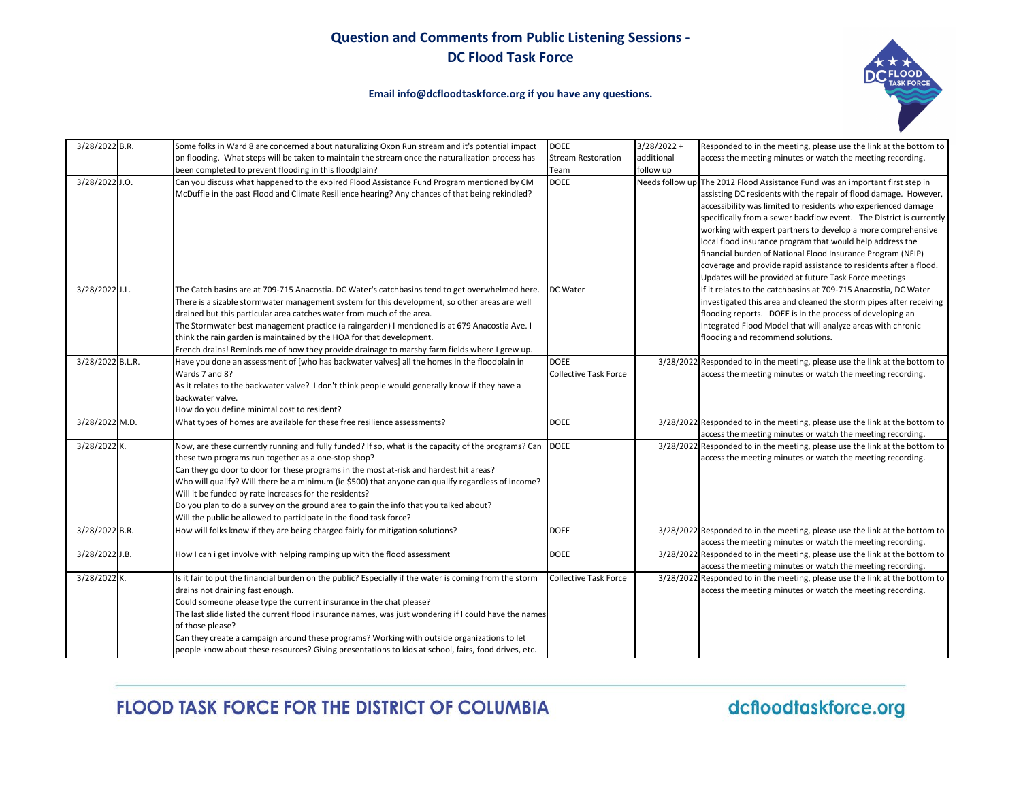

#### **Email info@dcfloodtaskforce.org if you have any questions.**

| 3/28/2022 B.R.   | Some folks in Ward 8 are concerned about naturalizing Oxon Run stream and it's potential impact                                                                                                                                                                                                                                                                                                                                                                                                                                                                                     | <b>DOEE</b>                                 | $3/28/2022 +$   | Responded to in the meeting, please use the link at the bottom to                                                                                                                                                                                                                                                                                                                                                                                                                                                                                                                                    |
|------------------|-------------------------------------------------------------------------------------------------------------------------------------------------------------------------------------------------------------------------------------------------------------------------------------------------------------------------------------------------------------------------------------------------------------------------------------------------------------------------------------------------------------------------------------------------------------------------------------|---------------------------------------------|-----------------|------------------------------------------------------------------------------------------------------------------------------------------------------------------------------------------------------------------------------------------------------------------------------------------------------------------------------------------------------------------------------------------------------------------------------------------------------------------------------------------------------------------------------------------------------------------------------------------------------|
|                  | on flooding. What steps will be taken to maintain the stream once the naturalization process has                                                                                                                                                                                                                                                                                                                                                                                                                                                                                    | <b>Stream Restoration</b>                   | additional      | access the meeting minutes or watch the meeting recording.                                                                                                                                                                                                                                                                                                                                                                                                                                                                                                                                           |
|                  | been completed to prevent flooding in this floodplain?                                                                                                                                                                                                                                                                                                                                                                                                                                                                                                                              | Team                                        | follow up       |                                                                                                                                                                                                                                                                                                                                                                                                                                                                                                                                                                                                      |
| 3/28/2022 J.O.   | Can you discuss what happened to the expired Flood Assistance Fund Program mentioned by CM<br>McDuffie in the past Flood and Climate Resilience hearing? Any chances of that being rekindled?                                                                                                                                                                                                                                                                                                                                                                                       | <b>DOEE</b>                                 | Needs follow up | The 2012 Flood Assistance Fund was an important first step in<br>assisting DC residents with the repair of flood damage. However,<br>accessibility was limited to residents who experienced damage<br>specifically from a sewer backflow event. The District is currently<br>working with expert partners to develop a more comprehensive<br>local flood insurance program that would help address the<br>financial burden of National Flood Insurance Program (NFIP)<br>coverage and provide rapid assistance to residents after a flood.<br>Updates will be provided at future Task Force meetings |
| 3/28/2022 J.L.   | The Catch basins are at 709-715 Anacostia. DC Water's catchbasins tend to get overwhelmed here.<br>There is a sizable stormwater management system for this development, so other areas are well<br>drained but this particular area catches water from much of the area.<br>The Stormwater best management practice (a raingarden) I mentioned is at 679 Anacostia Ave. I<br>think the rain garden is maintained by the HOA for that development.<br>French drains! Reminds me of how they provide drainage to marshy farm fields where I grew up.                                 | DC Water                                    |                 | If it relates to the catchbasins at 709-715 Anacostia, DC Water<br>investigated this area and cleaned the storm pipes after receiving<br>flooding reports. DOEE is in the process of developing an<br>Integrated Flood Model that will analyze areas with chronic<br>flooding and recommend solutions.                                                                                                                                                                                                                                                                                               |
| 3/28/2022 B.L.R. | Have you done an assessment of [who has backwater valves] all the homes in the floodplain in<br>Wards 7 and 8?<br>As it relates to the backwater valve? I don't think people would generally know if they have a<br>backwater valve.<br>How do you define minimal cost to resident?                                                                                                                                                                                                                                                                                                 | <b>DOEE</b><br><b>Collective Task Force</b> |                 | 3/28/2022 Responded to in the meeting, please use the link at the bottom to<br>access the meeting minutes or watch the meeting recording.                                                                                                                                                                                                                                                                                                                                                                                                                                                            |
| 3/28/2022 M.D.   | What types of homes are available for these free resilience assessments?                                                                                                                                                                                                                                                                                                                                                                                                                                                                                                            | <b>DOEE</b>                                 |                 | 3/28/2022 Responded to in the meeting, please use the link at the bottom to<br>access the meeting minutes or watch the meeting recording.                                                                                                                                                                                                                                                                                                                                                                                                                                                            |
| 3/28/2022 K.     | Now, are these currently running and fully funded? If so, what is the capacity of the programs? Can<br>these two programs run together as a one-stop shop?<br>Can they go door to door for these programs in the most at-risk and hardest hit areas?<br>Who will qualify? Will there be a minimum (ie \$500) that anyone can qualify regardless of income?<br>Will it be funded by rate increases for the residents?<br>Do you plan to do a survey on the ground area to gain the info that you talked about?<br>Will the public be allowed to participate in the flood task force? | <b>DOEE</b>                                 |                 | 3/28/2022 Responded to in the meeting, please use the link at the bottom to<br>access the meeting minutes or watch the meeting recording.                                                                                                                                                                                                                                                                                                                                                                                                                                                            |
| 3/28/2022 B.R.   | How will folks know if they are being charged fairly for mitigation solutions?                                                                                                                                                                                                                                                                                                                                                                                                                                                                                                      | <b>DOEE</b>                                 |                 | 3/28/2022 Responded to in the meeting, please use the link at the bottom to<br>access the meeting minutes or watch the meeting recording.                                                                                                                                                                                                                                                                                                                                                                                                                                                            |
| 3/28/2022 J.B.   | How I can i get involve with helping ramping up with the flood assessment                                                                                                                                                                                                                                                                                                                                                                                                                                                                                                           | <b>DOEE</b>                                 |                 | 3/28/2022 Responded to in the meeting, please use the link at the bottom to<br>access the meeting minutes or watch the meeting recording.                                                                                                                                                                                                                                                                                                                                                                                                                                                            |
| 3/28/2022 K.     | Is it fair to put the financial burden on the public? Especially if the water is coming from the storm<br>drains not draining fast enough.<br>Could someone please type the current insurance in the chat please?<br>The last slide listed the current flood insurance names, was just wondering if I could have the names<br>of those please?<br>Can they create a campaign around these programs? Working with outside organizations to let<br>people know about these resources? Giving presentations to kids at school, fairs, food drives, etc.                                | <b>Collective Task Force</b>                |                 | 3/28/2022 Responded to in the meeting, please use the link at the bottom to<br>access the meeting minutes or watch the meeting recording.                                                                                                                                                                                                                                                                                                                                                                                                                                                            |

FLOOD TASK FORCE FOR THE DISTRICT OF COLUMBIA

dcfloodtaskforce.org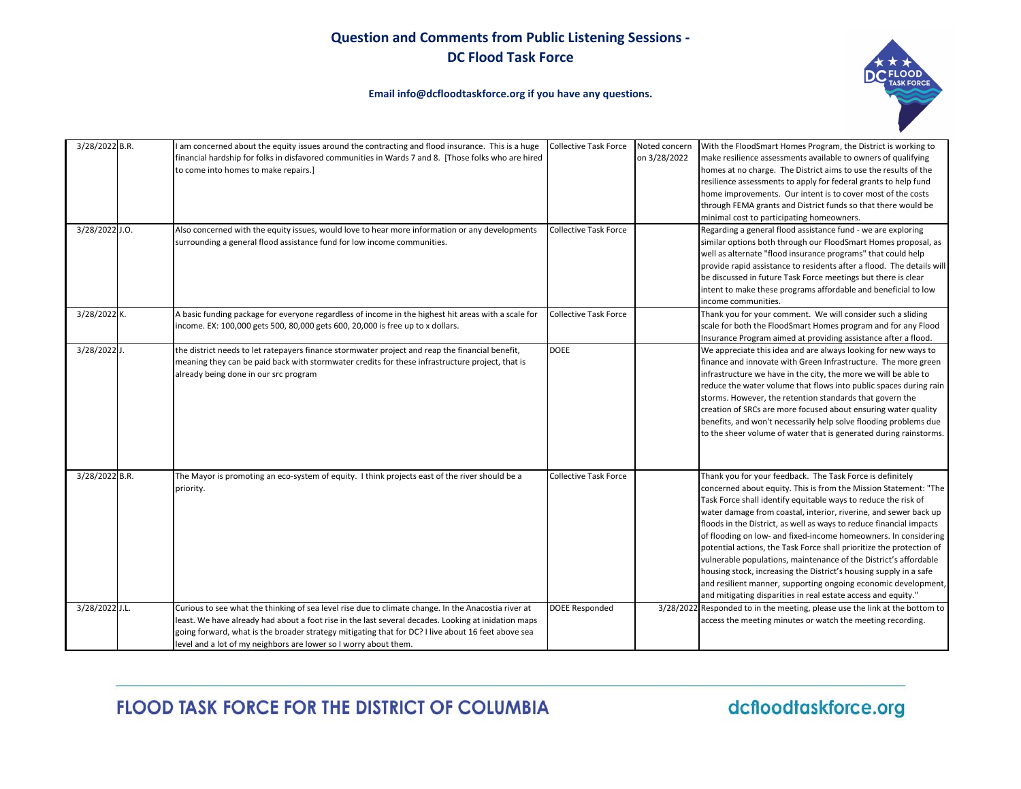**Email info@dcfloodtaskforce.org if you have any questions.**



| 3/28/2022 B.R. | I am concerned about the equity issues around the contracting and flood insurance. This is a huge<br>financial hardship for folks in disfavored communities in Wards 7 and 8. [Those folks who are hired<br>to come into homes to make repairs.]                                                                                                                                     | <b>Collective Task Force</b> | Noted concern<br>on 3/28/2022 | With the FloodSmart Homes Program, the District is working to<br>make resilience assessments available to owners of qualifying<br>homes at no charge. The District aims to use the results of the<br>resilience assessments to apply for federal grants to help fund<br>home improvements. Our intent is to cover most of the costs<br>through FEMA grants and District funds so that there would be<br>minimal cost to participating homeowners.                                                                                                                                                                                                                                                                                                                 |
|----------------|--------------------------------------------------------------------------------------------------------------------------------------------------------------------------------------------------------------------------------------------------------------------------------------------------------------------------------------------------------------------------------------|------------------------------|-------------------------------|-------------------------------------------------------------------------------------------------------------------------------------------------------------------------------------------------------------------------------------------------------------------------------------------------------------------------------------------------------------------------------------------------------------------------------------------------------------------------------------------------------------------------------------------------------------------------------------------------------------------------------------------------------------------------------------------------------------------------------------------------------------------|
| 3/28/2022 J.O. | Also concerned with the equity issues, would love to hear more information or any developments<br>surrounding a general flood assistance fund for low income communities.                                                                                                                                                                                                            | <b>Collective Task Force</b> |                               | Regarding a general flood assistance fund - we are exploring<br>similar options both through our FloodSmart Homes proposal, as<br>well as alternate "flood insurance programs" that could help<br>provide rapid assistance to residents after a flood. The details will<br>be discussed in future Task Force meetings but there is clear<br>intent to make these programs affordable and beneficial to low<br>income communities.                                                                                                                                                                                                                                                                                                                                 |
| 3/28/2022 K.   | A basic funding package for everyone regardless of income in the highest hit areas with a scale for<br>income. EX: 100,000 gets 500, 80,000 gets 600, 20,000 is free up to x dollars.                                                                                                                                                                                                | <b>Collective Task Force</b> |                               | Thank you for your comment. We will consider such a sliding<br>scale for both the FloodSmart Homes program and for any Flood<br>Insurance Program aimed at providing assistance after a flood.                                                                                                                                                                                                                                                                                                                                                                                                                                                                                                                                                                    |
| 3/28/2022 J.   | the district needs to let ratepayers finance stormwater project and reap the financial benefit,<br>meaning they can be paid back with stormwater credits for these infrastructure project, that is<br>already being done in our src program                                                                                                                                          | <b>DOEE</b>                  |                               | We appreciate this idea and are always looking for new ways to<br>finance and innovate with Green Infrastructure. The more green<br>infrastructure we have in the city, the more we will be able to<br>reduce the water volume that flows into public spaces during rain<br>storms. However, the retention standards that govern the<br>creation of SRCs are more focused about ensuring water quality<br>benefits, and won't necessarily help solve flooding problems due<br>to the sheer volume of water that is generated during rainstorms.                                                                                                                                                                                                                   |
| 3/28/2022 B.R. | The Mayor is promoting an eco-system of equity. I think projects east of the river should be a<br>priority.                                                                                                                                                                                                                                                                          | <b>Collective Task Force</b> |                               | Thank you for your feedback. The Task Force is definitely<br>concerned about equity. This is from the Mission Statement: "The<br>Task Force shall identify equitable ways to reduce the risk of<br>water damage from coastal, interior, riverine, and sewer back up<br>floods in the District, as well as ways to reduce financial impacts<br>of flooding on low- and fixed-income homeowners. In considering<br>potential actions, the Task Force shall prioritize the protection of<br>vulnerable populations, maintenance of the District's affordable<br>housing stock, increasing the District's housing supply in a safe<br>and resilient manner, supporting ongoing economic development,<br>and mitigating disparities in real estate access and equity." |
| 3/28/2022 J.L. | Curious to see what the thinking of sea level rise due to climate change. In the Anacostia river at<br>least. We have already had about a foot rise in the last several decades. Looking at inidation maps<br>going forward, what is the broader strategy mitigating that for DC? I live about 16 feet above sea<br>level and a lot of my neighbors are lower so I worry about them. | <b>DOEE Responded</b>        |                               | 3/28/2022 Responded to in the meeting, please use the link at the bottom to<br>access the meeting minutes or watch the meeting recording.                                                                                                                                                                                                                                                                                                                                                                                                                                                                                                                                                                                                                         |

FLOOD TASK FORCE FOR THE DISTRICT OF COLUMBIA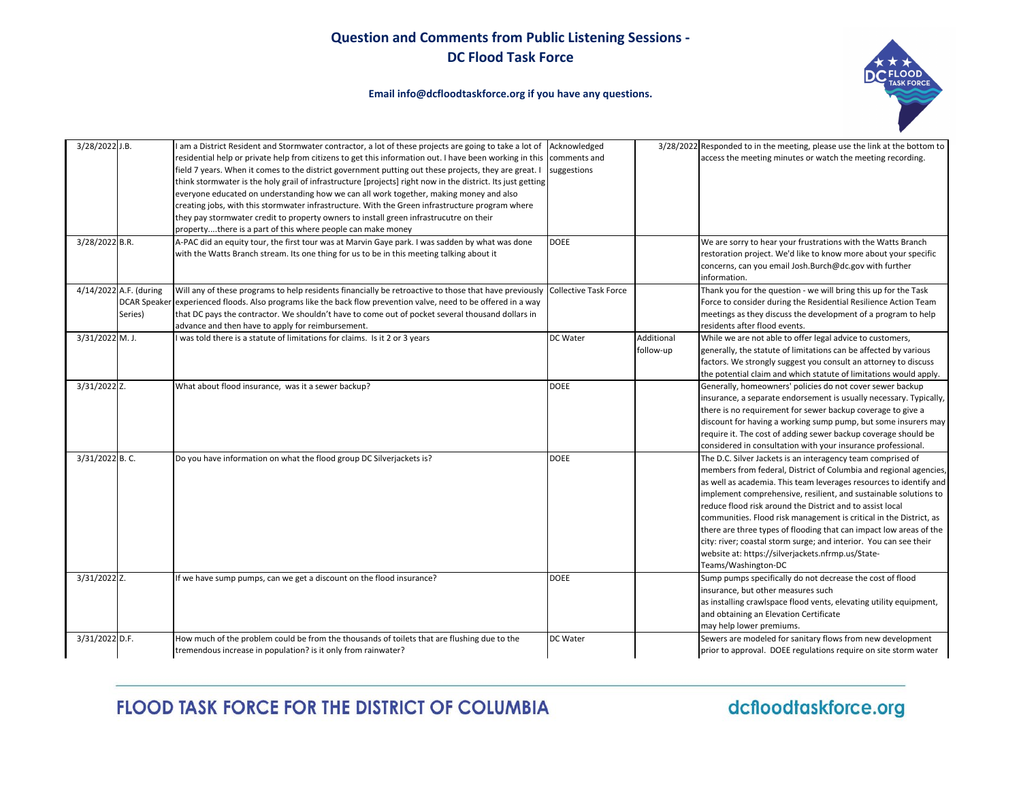**Email info@dcfloodtaskforce.org if you have any questions.**



| 3/28/2022 J.B. |                                   | I am a District Resident and Stormwater contractor, a lot of these projects are going to take a lot of<br>residential help or private help from citizens to get this information out. I have been working in this<br>field 7 years. When it comes to the district government putting out these projects, they are great. I<br>think stormwater is the holy grail of infrastructure [projects] right now in the district. Its just getting<br>everyone educated on understanding how we can all work together, making money and also<br>creating jobs, with this stormwater infrastructure. With the Green infrastructure program where<br>they pay stormwater credit to property owners to install green infrastrucutre on their<br>propertythere is a part of this where people can make money | Acknowledged<br>comments and<br>suggestions |                         | 3/28/2022 Responded to in the meeting, please use the link at the bottom to<br>access the meeting minutes or watch the meeting recording.                                                                                                                                                                                                                                                                                                                                                                                                                                                                                            |
|----------------|-----------------------------------|-------------------------------------------------------------------------------------------------------------------------------------------------------------------------------------------------------------------------------------------------------------------------------------------------------------------------------------------------------------------------------------------------------------------------------------------------------------------------------------------------------------------------------------------------------------------------------------------------------------------------------------------------------------------------------------------------------------------------------------------------------------------------------------------------|---------------------------------------------|-------------------------|--------------------------------------------------------------------------------------------------------------------------------------------------------------------------------------------------------------------------------------------------------------------------------------------------------------------------------------------------------------------------------------------------------------------------------------------------------------------------------------------------------------------------------------------------------------------------------------------------------------------------------------|
| 3/28/2022 B.R. |                                   | A-PAC did an equity tour, the first tour was at Marvin Gaye park. I was sadden by what was done<br>with the Watts Branch stream. Its one thing for us to be in this meeting talking about it                                                                                                                                                                                                                                                                                                                                                                                                                                                                                                                                                                                                    | <b>DOEE</b>                                 |                         | We are sorry to hear your frustrations with the Watts Branch<br>restoration project. We'd like to know more about your specific<br>concerns, can you email Josh.Burch@dc.gov with further<br>information.                                                                                                                                                                                                                                                                                                                                                                                                                            |
|                | 4/14/2022 A.F. (during<br>Series) | Will any of these programs to help residents financially be retroactive to those that have previously<br>DCAR Speaker experienced floods. Also programs like the back flow prevention valve, need to be offered in a way<br>that DC pays the contractor. We shouldn't have to come out of pocket several thousand dollars in<br>advance and then have to apply for reimbursement.                                                                                                                                                                                                                                                                                                                                                                                                               | Collective Task Force                       |                         | Thank you for the question - we will bring this up for the Task<br>Force to consider during the Residential Resilience Action Team<br>meetings as they discuss the development of a program to help<br>residents after flood events.                                                                                                                                                                                                                                                                                                                                                                                                 |
| 3/31/2022 M.J. |                                   | I was told there is a statute of limitations for claims. Is it 2 or 3 years                                                                                                                                                                                                                                                                                                                                                                                                                                                                                                                                                                                                                                                                                                                     | DC Water                                    | Additional<br>follow-up | While we are not able to offer legal advice to customers,<br>generally, the statute of limitations can be affected by various<br>factors. We strongly suggest you consult an attorney to discuss<br>the potential claim and which statute of limitations would apply.                                                                                                                                                                                                                                                                                                                                                                |
| 3/31/2022 Z.   |                                   | What about flood insurance, was it a sewer backup?                                                                                                                                                                                                                                                                                                                                                                                                                                                                                                                                                                                                                                                                                                                                              | <b>DOEE</b>                                 |                         | Generally, homeowners' policies do not cover sewer backup<br>insurance, a separate endorsement is usually necessary. Typically,<br>there is no requirement for sewer backup coverage to give a<br>discount for having a working sump pump, but some insurers may<br>require it. The cost of adding sewer backup coverage should be<br>considered in consultation with your insurance professional.                                                                                                                                                                                                                                   |
| 3/31/2022 B.C. |                                   | Do you have information on what the flood group DC Silverjackets is?                                                                                                                                                                                                                                                                                                                                                                                                                                                                                                                                                                                                                                                                                                                            | <b>DOEE</b>                                 |                         | The D.C. Silver Jackets is an interagency team comprised of<br>members from federal, District of Columbia and regional agencies,<br>as well as academia. This team leverages resources to identify and<br>implement comprehensive, resilient, and sustainable solutions to<br>reduce flood risk around the District and to assist local<br>communities. Flood risk management is critical in the District, as<br>there are three types of flooding that can impact low areas of the<br>city: river; coastal storm surge; and interior. You can see their<br>website at: https://silverjackets.nfrmp.us/State-<br>Teams/Washington-DC |
| 3/31/2022 Z.   |                                   | If we have sump pumps, can we get a discount on the flood insurance?                                                                                                                                                                                                                                                                                                                                                                                                                                                                                                                                                                                                                                                                                                                            | <b>DOEE</b>                                 |                         | Sump pumps specifically do not decrease the cost of flood<br>insurance, but other measures such<br>as installing crawlspace flood vents, elevating utility equipment,<br>and obtaining an Elevation Certificate<br>may help lower premiums.                                                                                                                                                                                                                                                                                                                                                                                          |
| 3/31/2022 D.F. |                                   | How much of the problem could be from the thousands of toilets that are flushing due to the<br>tremendous increase in population? is it only from rainwater?                                                                                                                                                                                                                                                                                                                                                                                                                                                                                                                                                                                                                                    | DC Water                                    |                         | Sewers are modeled for sanitary flows from new development<br>prior to approval. DOEE regulations require on site storm water                                                                                                                                                                                                                                                                                                                                                                                                                                                                                                        |

**FLOOD TASK FORCE FOR THE DISTRICT OF COLUMBIA** 

dcfloodtaskforce.org